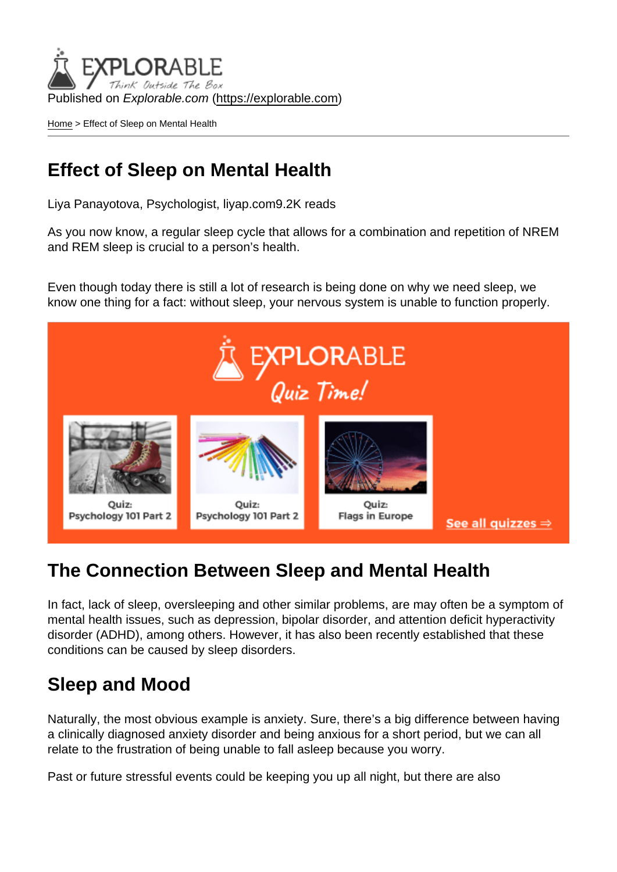Published on Explorable.com (<https://explorable.com>)

[Home](https://explorable.com/) > Effect of Sleep on Mental Health

### Effect of Sleep on Mental Health

Liya Panayotova, Psychologist, liyap.com9.2K reads

As you now know, a regular sleep cycle that allows for a combination and repetition of NREM and REM sleep is crucial to a person's health.

Even though today there is still a lot of research is being done on why we need sleep, we know one thing for a fact: without sleep, your nervous system is unable to function properly.

#### The Connection Between Sleep and Mental Health

In fact, lack of sleep, oversleeping and other similar problems, are may often be a symptom of mental health issues, such as depression, bipolar disorder, and attention deficit hyperactivity disorder (ADHD), among others. However, it has also been recently established that these conditions can be caused by sleep disorders.

#### Sleep and Mood

Naturally, the most obvious example is anxiety. Sure, there's a big difference between having a clinically diagnosed anxiety disorder and being anxious for a short period, but we can all relate to the frustration of being unable to fall asleep because you worry.

Past or future stressful events could be keeping you up all night, but there are also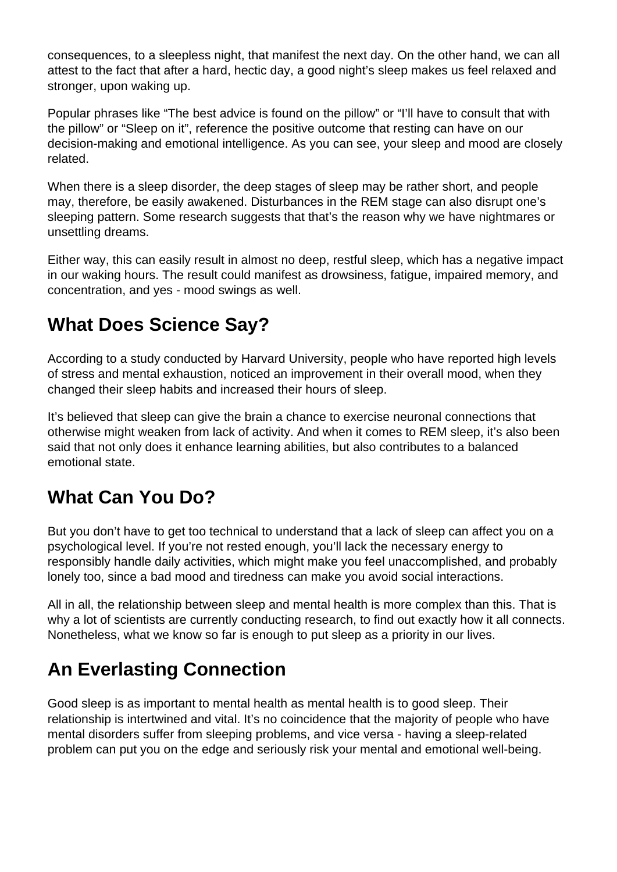consequences, to a sleepless night, that manifest the next day. On the other hand, we can all attest to the fact that after a hard, hectic day, a good night's sleep makes us feel relaxed and stronger, upon waking up.

Popular phrases like "The best advice is found on the pillow" or "I'll have to consult that with the pillow" or "Sleep on it", reference the positive outcome that resting can have on our decision-making and emotional intelligence. As you can see, your sleep and mood are closely related.

When there is a sleep disorder, the deep stages of sleep may be rather short, and people may, therefore, be easily awakened. Disturbances in the REM stage can also disrupt one's sleeping pattern. Some research suggests that that's the reason why we have nightmares or unsettling dreams.

Either way, this can easily result in almost no deep, restful sleep, which has a negative impact in our waking hours. The result could manifest as drowsiness, fatigue, impaired memory, and concentration, and yes - mood swings as well.

# **What Does Science Say?**

According to a study conducted by Harvard University, people who have reported high levels of stress and mental exhaustion, noticed an improvement in their overall mood, when they changed their sleep habits and increased their hours of sleep.

It's believed that sleep can give the brain a chance to exercise neuronal connections that otherwise might weaken from lack of activity. And when it comes to REM sleep, it's also been said that not only does it enhance learning abilities, but also contributes to a balanced emotional state.

### **What Can You Do?**

But you don't have to get too technical to understand that a lack of sleep can affect you on a psychological level. If you're not rested enough, you'll lack the necessary energy to responsibly handle daily activities, which might make you feel unaccomplished, and probably lonely too, since a bad mood and tiredness can make you avoid social interactions.

All in all, the relationship between sleep and mental health is more complex than this. That is why a lot of scientists are currently conducting research, to find out exactly how it all connects. Nonetheless, what we know so far is enough to put sleep as a priority in our lives.

## **An Everlasting Connection**

Good sleep is as important to mental health as mental health is to good sleep. Their relationship is intertwined and vital. It's no coincidence that the majority of people who have mental disorders suffer from sleeping problems, and vice versa - having a sleep-related problem can put you on the edge and seriously risk your mental and emotional well-being.